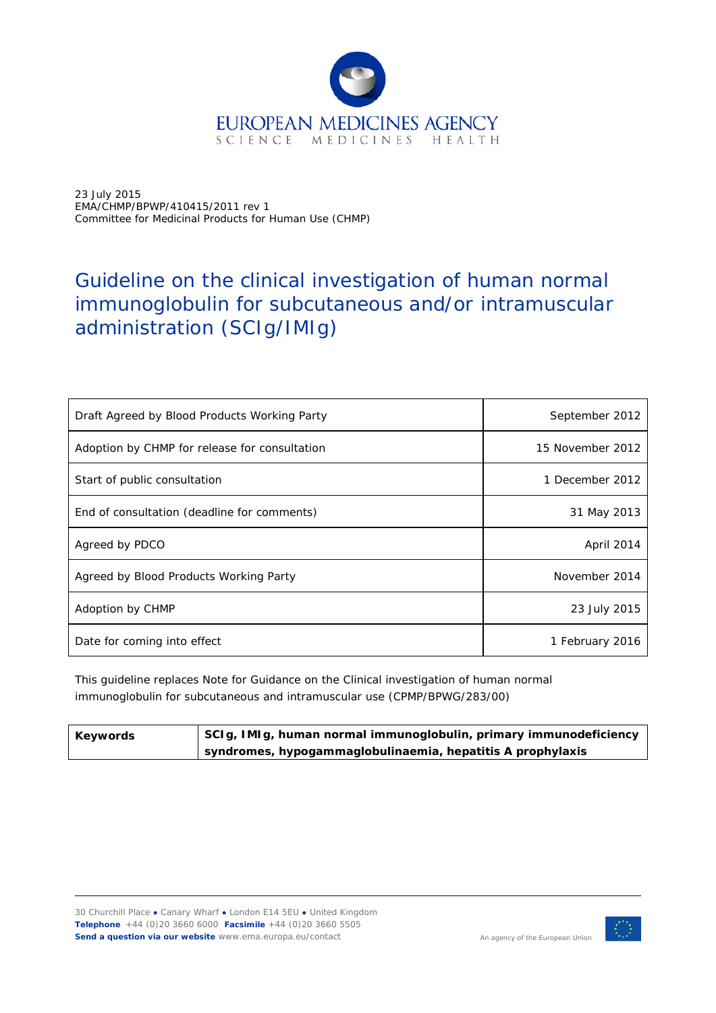

23 July 2015 EMA/CHMP/BPWP/410415/2011 rev 1 Committee for Medicinal Products for Human Use (CHMP)

# Guideline on the clinical investigation of human normal immunoglobulin for subcutaneous and/or intramuscular administration (SCIg/IMIg)

| Draft Agreed by Blood Products Working Party  | September 2012   |
|-----------------------------------------------|------------------|
| Adoption by CHMP for release for consultation | 15 November 2012 |
| Start of public consultation                  | 1 December 2012  |
| End of consultation (deadline for comments)   | 31 May 2013      |
| Agreed by PDCO                                | April 2014       |
| Agreed by Blood Products Working Party        | November 2014    |
| Adoption by CHMP                              | 23 July 2015     |
| Date for coming into effect                   | 1 February 2016  |

This guideline replaces Note for Guidance on the Clinical investigation of human normal immunoglobulin for subcutaneous and intramuscular use (CPMP/BPWG/283/00)

| Keywords | SCIg, IMIg, human normal immunoglobulin, primary immunodeficiency |
|----------|-------------------------------------------------------------------|
|          | syndromes, hypogammaglobulinaemia, hepatitis A prophylaxis        |

30 Churchill Place **●** Canary Wharf **●** London E14 5EU **●** United Kingdom **Telephone** +44 (0)20 3660 6000 **Facsimile** +44 (0)20 3660 5505 **Send a question via our website** www.ema.europa.eu/contact

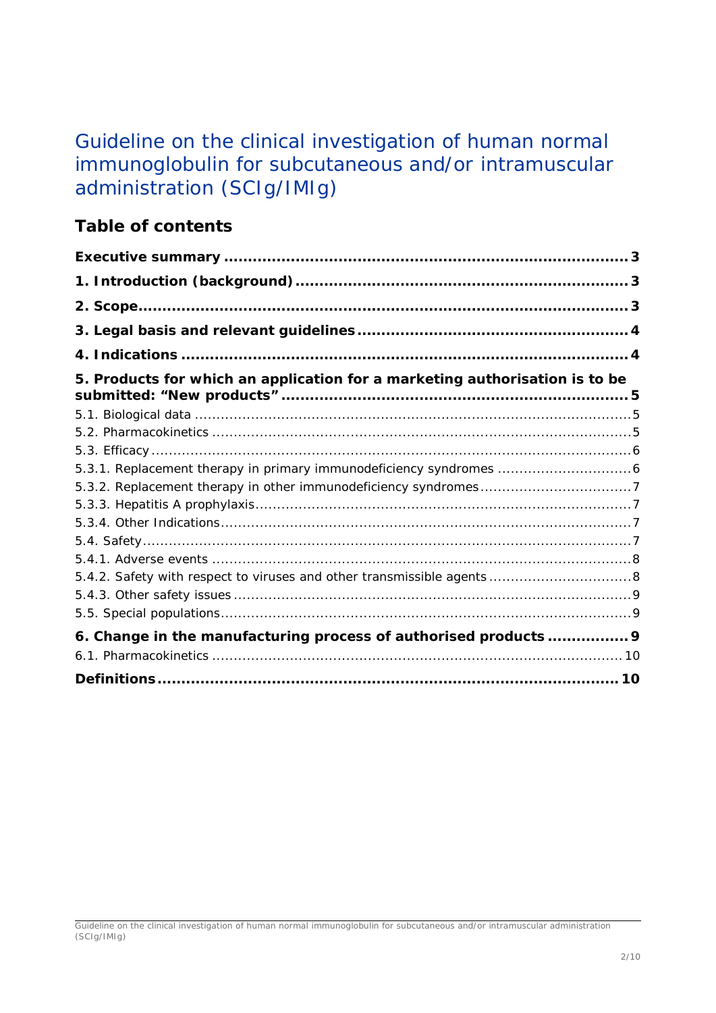# Guideline on the clinical investigation of human normal immunoglobulin for subcutaneous and/or intramuscular administration (SCIg/IMIg)

## **Table of contents**

| 5. Products for which an application for a marketing authorisation is to be |  |
|-----------------------------------------------------------------------------|--|
|                                                                             |  |
|                                                                             |  |
|                                                                             |  |
|                                                                             |  |
|                                                                             |  |
|                                                                             |  |
|                                                                             |  |
|                                                                             |  |
|                                                                             |  |
|                                                                             |  |
|                                                                             |  |
|                                                                             |  |
| 6. Change in the manufacturing process of authorised products  9            |  |
|                                                                             |  |
|                                                                             |  |

Guideline on the clinical investigation of human normal immunoglobulin for subcutaneous and/or intramuscular administration (SCIg/IMIg)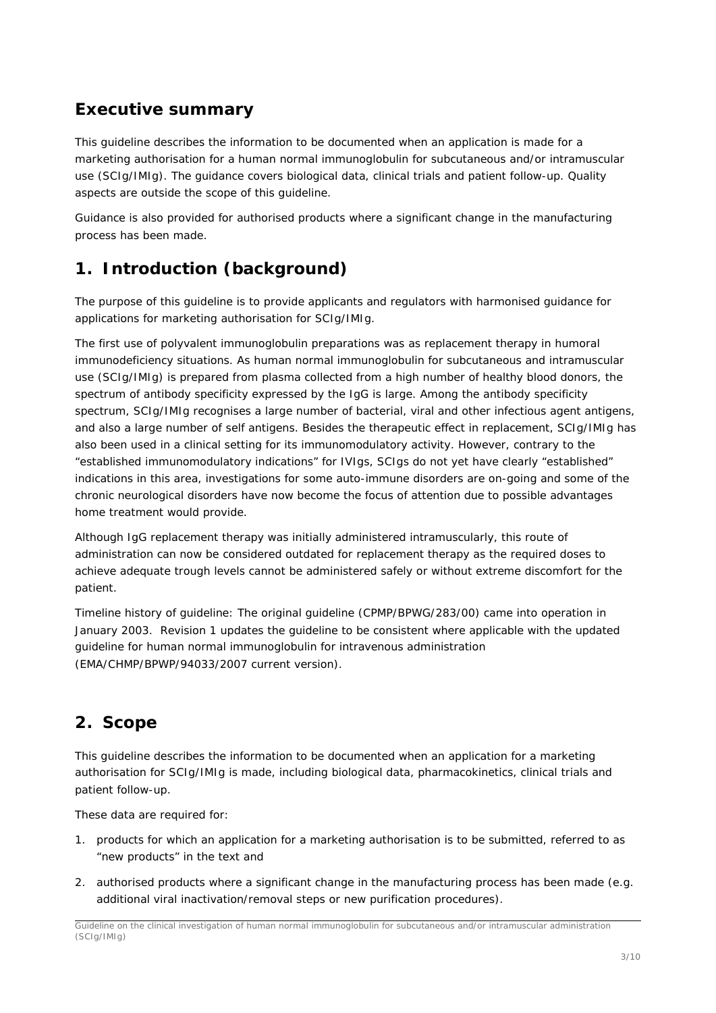## <span id="page-2-0"></span>**Executive summary**

This guideline describes the information to be documented when an application is made for a marketing authorisation for a human normal immunoglobulin for subcutaneous and/or intramuscular use (SCIg/IMIg). The guidance covers biological data, clinical trials and patient follow-up. Quality aspects are outside the scope of this guideline.

Guidance is also provided for authorised products where a significant change in the manufacturing process has been made.

## <span id="page-2-1"></span>**1. Introduction (background)**

The purpose of this guideline is to provide applicants and regulators with harmonised guidance for applications for marketing authorisation for SCIg/IMIg.

The first use of polyvalent immunoglobulin preparations was as replacement therapy in humoral immunodeficiency situations. As human normal immunoglobulin for subcutaneous and intramuscular use (SCIg/IMIg) is prepared from plasma collected from a high number of healthy blood donors, the spectrum of antibody specificity expressed by the IgG is large. Among the antibody specificity spectrum, SCIg/IMIg recognises a large number of bacterial, viral and other infectious agent antigens, and also a large number of self antigens. Besides the therapeutic effect in replacement, SCIg/IMIg has also been used in a clinical setting for its immunomodulatory activity. However, contrary to the "established immunomodulatory indications" for IVIgs, SCIgs do not yet have clearly "established" indications in this area, investigations for some auto-immune disorders are on-going and some of the chronic neurological disorders have now become the focus of attention due to possible advantages home treatment would provide.

Although IgG replacement therapy was initially administered intramuscularly, this route of administration can now be considered outdated for replacement therapy as the required doses to achieve adequate trough levels cannot be administered safely or without extreme discomfort for the patient.

Timeline history of guideline: The original guideline (CPMP/BPWG/283/00) came into operation in January 2003. Revision 1 updates the guideline to be consistent where applicable with the updated guideline for human normal immunoglobulin for intravenous administration (EMA/CHMP/BPWP/94033/2007 current version).

## <span id="page-2-2"></span>**2. Scope**

This guideline describes the information to be documented when an application for a marketing authorisation for SCIg/IMIg is made, including biological data, pharmacokinetics, clinical trials and patient follow-up.

These data are required for:

- 1. products for which an application for a marketing authorisation is to be submitted, referred to as "new products" in the text and
- 2. authorised products where a significant change in the manufacturing process has been made (e.g. additional viral inactivation/removal steps or new purification procedures).

Guideline on the clinical investigation of human normal immunoglobulin for subcutaneous and/or intramuscular administration (SCIg/IMIg)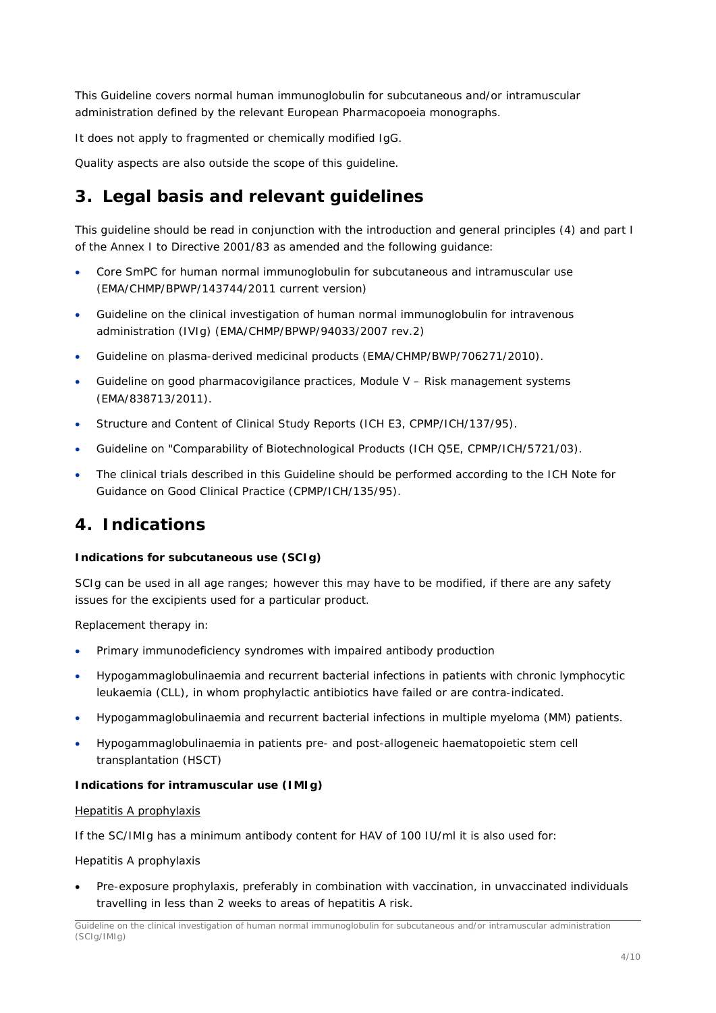This Guideline covers normal human immunoglobulin for subcutaneous and/or intramuscular administration defined by the relevant European Pharmacopoeia monographs.

It does not apply to fragmented or chemically modified IgG.

Quality aspects are also outside the scope of this guideline.

## <span id="page-3-0"></span>**3. Legal basis and relevant guidelines**

This guideline should be read in conjunction with the introduction and general principles (4) and part I of the Annex I to Directive 2001/83 as amended and the following guidance:

- Core SmPC for human normal immunoglobulin for subcutaneous and intramuscular use (EMA/CHMP/BPWP/143744/2011 current version)
- Guideline on the clinical investigation of human normal immunoglobulin for intravenous administration (IVIg) (EMA/CHMP/BPWP/94033/2007 rev.2)
- Guideline on plasma-derived medicinal products (EMA/CHMP/BWP/706271/2010).
- Guideline on good pharmacovigilance practices, Module V Risk management systems (EMA/838713/2011).
- Structure and Content of Clinical Study Reports (ICH E3, CPMP/ICH/137/95).
- Guideline on "Comparability of Biotechnological Products (ICH Q5E, CPMP/ICH/5721/03).
- The clinical trials described in this Guideline should be performed according to the ICH Note for Guidance on Good Clinical Practice (CPMP/ICH/135/95).

## <span id="page-3-1"></span>**4. Indications**

#### **Indications for subcutaneous use (SCIg)**

SCIg can be used in all age ranges; however this may have to be modified, if there are any safety issues for the excipients used for a particular product.

Replacement therapy in:

- Primary immunodeficiency syndromes with impaired antibody production
- Hypogammaglobulinaemia and recurrent bacterial infections in patients with chronic lymphocytic leukaemia (CLL), in whom prophylactic antibiotics have failed or are contra-indicated.
- Hypogammaglobulinaemia and recurrent bacterial infections in multiple myeloma (MM) patients.
- Hypogammaglobulinaemia in patients pre- and post-allogeneic haematopoietic stem cell transplantation (HSCT)

#### **Indications for intramuscular use (IMIg)**

#### Hepatitis A prophylaxis

If the SC/IMIg has a minimum antibody content for HAV of 100 IU/ml it is also used for:

#### Hepatitis A prophylaxis

• Pre-exposure prophylaxis, preferably in combination with vaccination, in unvaccinated individuals travelling in less than 2 weeks to areas of hepatitis A risk.

Guideline on the clinical investigation of human normal immunoglobulin for subcutaneous and/or intramuscular administration (SCIg/IMIg)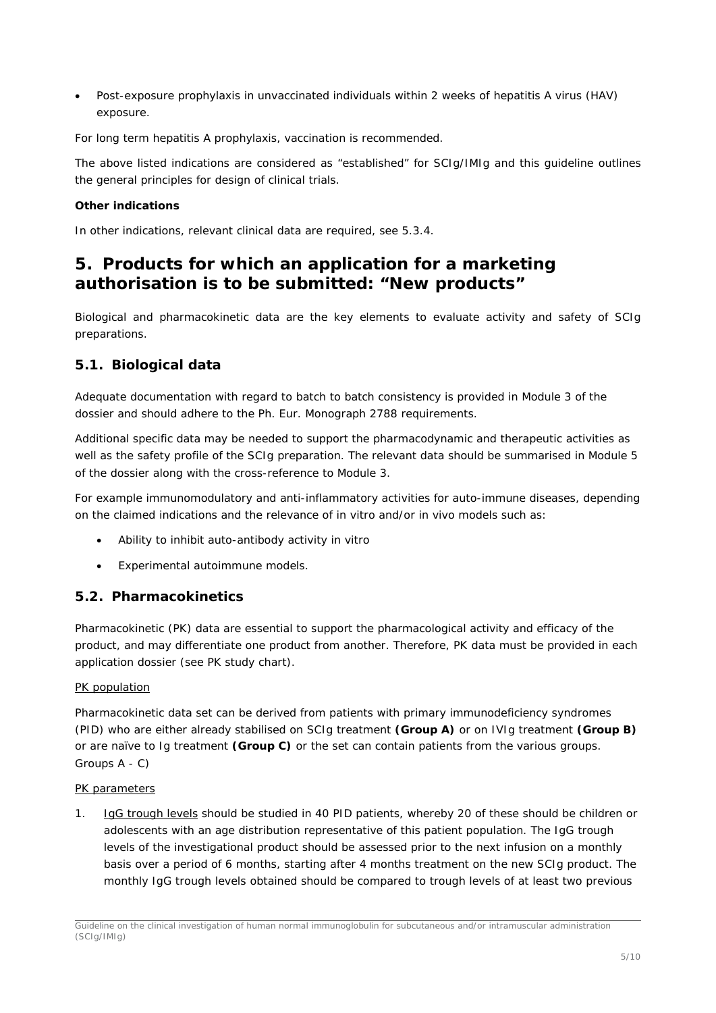• Post-exposure prophylaxis in unvaccinated individuals within 2 weeks of hepatitis A virus (HAV) exposure.

For long term hepatitis A prophylaxis, vaccination is recommended.

The above listed indications are considered as "established" for SCIg/IMIg and this guideline outlines the general principles for design of clinical trials.

#### **Other indications**

In other indications, relevant clinical data are required, see 5.3.4.

## <span id="page-4-0"></span>**5. Products for which an application for a marketing authorisation is to be submitted: "New products"**

Biological and pharmacokinetic data are the key elements to evaluate activity and safety of SCIg preparations.

## <span id="page-4-1"></span>*5.1. Biological data*

Adequate documentation with regard to batch to batch consistency is provided in Module 3 of the dossier and should adhere to the Ph. Eur. Monograph 2788 requirements.

Additional specific data may be needed to support the pharmacodynamic and therapeutic activities as well as the safety profile of the SCIg preparation. The relevant data should be summarised in Module 5 of the dossier along with the cross-reference to Module 3.

For example immunomodulatory and anti-inflammatory activities for auto-immune diseases, depending on the claimed indications and the relevance of *in vitro* and/or *in vivo* models such as:

- Ability to inhibit auto-antibody activity *in vitro*
- Experimental autoimmune models.

### <span id="page-4-2"></span>*5.2. Pharmacokinetics*

Pharmacokinetic (PK) data are essential to support the pharmacological activity and efficacy of the product, and may differentiate one product from another. Therefore, PK data must be provided in each application dossier (see PK study chart).

#### *PK population*

Pharmacokinetic data set can be derived from patients with primary immunodeficiency syndromes (PID) who are either already stabilised on SCIg treatment **(Group A)** or on IVIg treatment **(Group B)** or are naïve to Ig treatment **(Group C)** or the set can contain patients from the various groups. Groups A - C)

#### *PK parameters*

1. IgG trough levels should be studied in 40 PID patients, whereby 20 of these should be children or adolescents with an age distribution representative of this patient population. The IgG trough levels of the investigational product should be assessed prior to the next infusion on a monthly basis over a period of 6 months, starting after 4 months treatment on the new SCIg product. The monthly IgG trough levels obtained should be compared to trough levels of at least two previous

Guideline on the clinical investigation of human normal immunoglobulin for subcutaneous and/or intramuscular administration (SCIg/IMIg)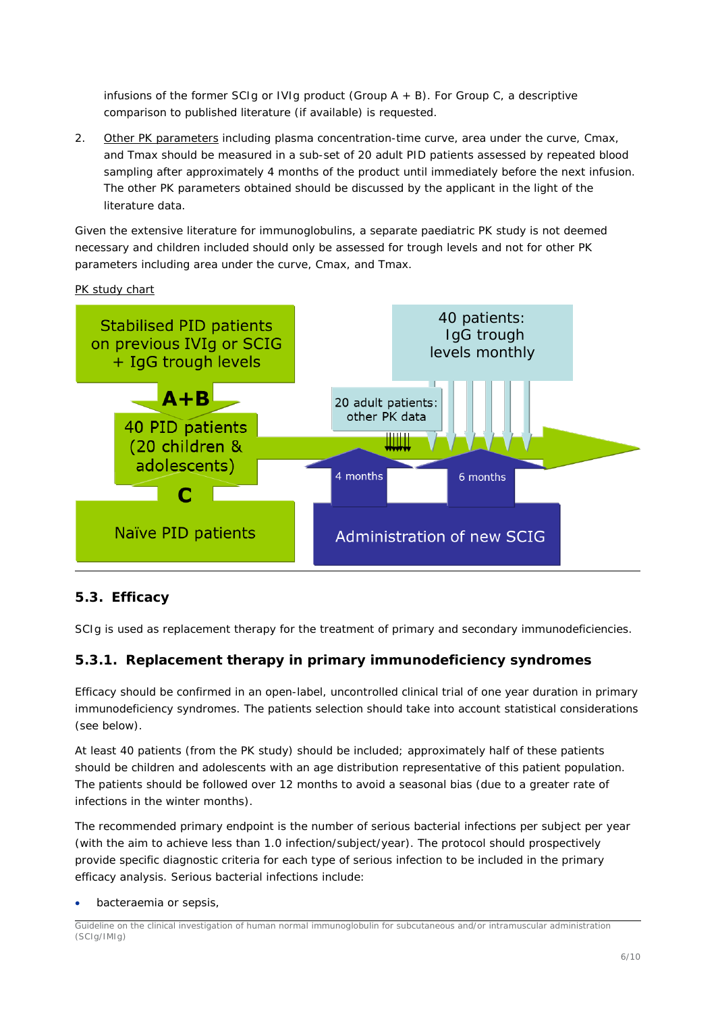infusions of the former SCIg or IVIg product (Group  $A + B$ ). For Group C, a descriptive comparison to published literature (if available) is requested.

2. Other PK parameters including plasma concentration-time curve, area under the curve, Cmax, and Tmax should be measured in a sub-set of 20 adult PID patients assessed by repeated blood sampling after approximately 4 months of the product until immediately before the next infusion. The other PK parameters obtained should be discussed by the applicant in the light of the literature data.

Given the extensive literature for immunoglobulins, a separate paediatric PK study is not deemed necessary and children included should only be assessed for trough levels and not for other PK parameters including area under the curve, Cmax, and Tmax.

*PK study chart* 



## <span id="page-5-0"></span>*5.3. Efficacy*

SCIg is used as replacement therapy for the treatment of primary and secondary immunodeficiencies.

### <span id="page-5-1"></span>**5.3.1. Replacement therapy in primary immunodeficiency syndromes**

Efficacy should be confirmed in an open-label, uncontrolled clinical trial of one year duration in primary immunodeficiency syndromes. The patients selection should take into account statistical considerations (see below).

At least 40 patients (from the PK study) should be included; approximately half of these patients should be children and adolescents with an age distribution representative of this patient population. The patients should be followed over 12 months to avoid a seasonal bias (due to a greater rate of infections in the winter months).

The recommended primary endpoint is the number of serious bacterial infections per subject per year (with the aim to achieve less than 1.0 infection/subject/year). The protocol should prospectively provide specific diagnostic criteria for each type of serious infection to be included in the primary efficacy analysis. Serious bacterial infections include:

• bacteraemia or sepsis,

Guideline on the clinical investigation of human normal immunoglobulin for subcutaneous and/or intramuscular administration (SCIg/IMIg)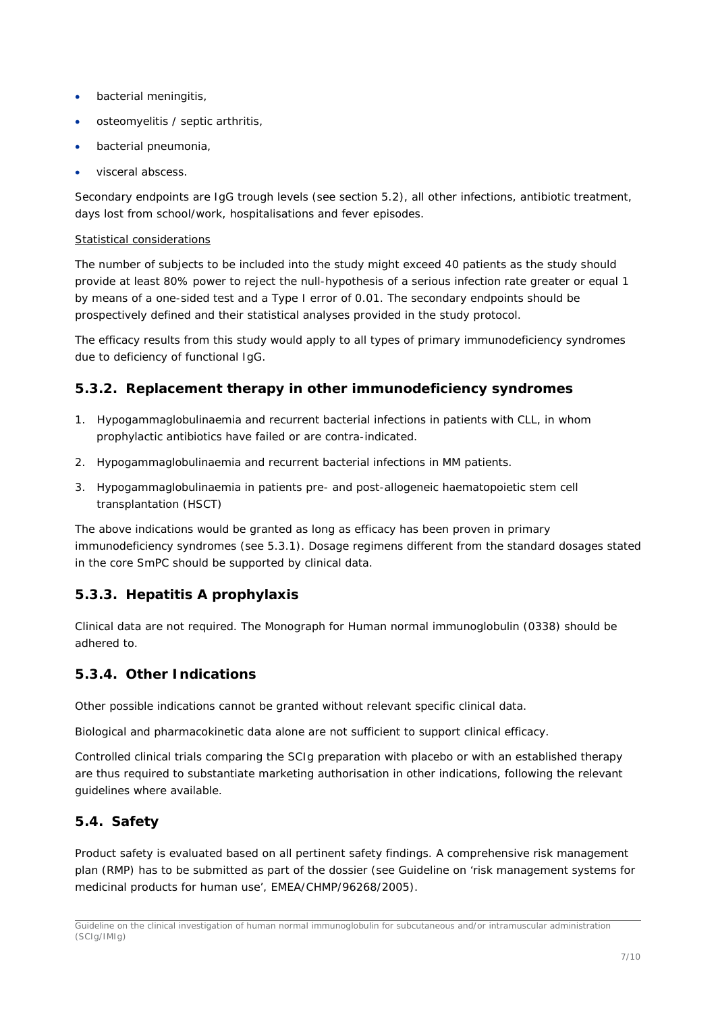- bacterial meningitis,
- osteomyelitis / septic arthritis,
- bacterial pneumonia,
- visceral abscess.

Secondary endpoints are IgG trough levels (see section 5.2), all other infections, antibiotic treatment, days lost from school/work, hospitalisations and fever episodes.

#### *Statistical considerations*

The number of subjects to be included into the study might exceed 40 patients as the study should provide at least 80% power to reject the null-hypothesis of a serious infection rate greater or equal 1 by means of a one-sided test and a Type I error of 0.01. The secondary endpoints should be prospectively defined and their statistical analyses provided in the study protocol.

The efficacy results from this study would apply to all types of primary immunodeficiency syndromes due to deficiency of functional IgG.

## <span id="page-6-0"></span>**5.3.2. Replacement therapy in other immunodeficiency syndromes**

- 1. Hypogammaglobulinaemia and recurrent bacterial infections in patients with CLL, in whom prophylactic antibiotics have failed or are contra-indicated.
- 2. Hypogammaglobulinaemia and recurrent bacterial infections in MM patients.
- 3. Hypogammaglobulinaemia in patients pre- and post-allogeneic haematopoietic stem cell transplantation (HSCT)

The above indications would be granted as long as efficacy has been proven in primary immunodeficiency syndromes (see 5.3.1). Dosage regimens different from the standard dosages stated in the core SmPC should be supported by clinical data.

## <span id="page-6-1"></span>**5.3.3. Hepatitis A prophylaxis**

Clinical data are not required. The Monograph for Human normal immunoglobulin (0338) should be adhered to.

## <span id="page-6-2"></span>**5.3.4. Other Indications**

Other possible indications cannot be granted without relevant specific clinical data.

Biological and pharmacokinetic data alone are not sufficient to support clinical efficacy.

Controlled clinical trials comparing the SCIg preparation with placebo or with an established therapy are thus required to substantiate marketing authorisation in other indications, following the relevant guidelines where available.

## <span id="page-6-3"></span>*5.4. Safety*

Product safety is evaluated based on all pertinent safety findings. A comprehensive risk management plan (RMP) has to be submitted as part of the dossier (see Guideline on 'risk management systems for medicinal products for human use', EMEA/CHMP/96268/2005).

Guideline on the clinical investigation of human normal immunoglobulin for subcutaneous and/or intramuscular administration (SCIg/IMIg)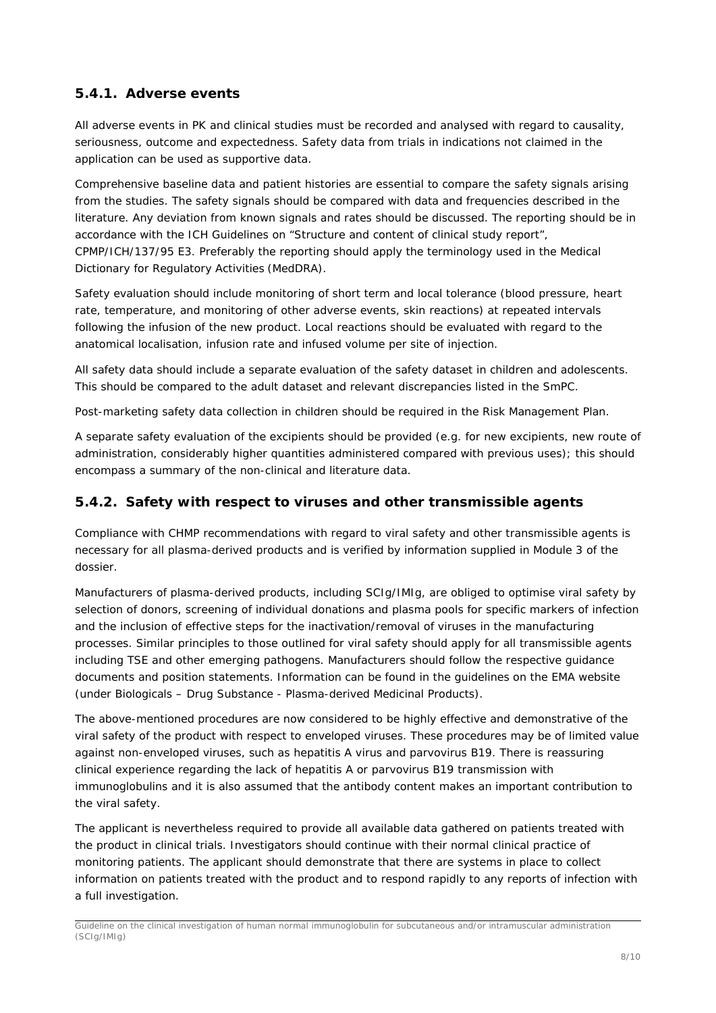## <span id="page-7-0"></span>**5.4.1. Adverse events**

All adverse events in PK and clinical studies must be recorded and analysed with regard to causality, seriousness, outcome and expectedness. Safety data from trials in indications not claimed in the application can be used as supportive data.

Comprehensive baseline data and patient histories are essential to compare the safety signals arising from the studies. The safety signals should be compared with data and frequencies described in the literature. Any deviation from known signals and rates should be discussed. The reporting should be in accordance with the ICH Guidelines on "Structure and content of clinical study report", CPMP/ICH/137/95 E3. Preferably the reporting should apply the terminology used in the Medical Dictionary for Regulatory Activities (MedDRA).

Safety evaluation should include monitoring of short term and local tolerance (blood pressure, heart rate, temperature, and monitoring of other adverse events, skin reactions) at repeated intervals following the infusion of the new product. Local reactions should be evaluated with regard to the anatomical localisation, infusion rate and infused volume per site of injection.

All safety data should include a separate evaluation of the safety dataset in children and adolescents. This should be compared to the adult dataset and relevant discrepancies listed in the SmPC.

Post-marketing safety data collection in children should be required in the Risk Management Plan.

A separate safety evaluation of the excipients should be provided (e.g. for new excipients, new route of administration, considerably higher quantities administered compared with previous uses); this should encompass a summary of the non-clinical and literature data.

## <span id="page-7-1"></span>**5.4.2. Safety with respect to viruses and other transmissible agents**

Compliance with CHMP recommendations with regard to viral safety and other transmissible agents is necessary for all plasma-derived products and is verified by information supplied in Module 3 of the dossier.

Manufacturers of plasma-derived products, including SCIg/IMIg, are obliged to optimise viral safety by selection of donors, screening of individual donations and plasma pools for specific markers of infection and the inclusion of effective steps for the inactivation/removal of viruses in the manufacturing processes. Similar principles to those outlined for viral safety should apply for all transmissible agents including TSE and other emerging pathogens. Manufacturers should follow the respective guidance documents and position statements. Information can be found in the guidelines on the EMA website (under *Biologicals – Drug Substance - Plasma-derived Medicinal Products*).

The above-mentioned procedures are now considered to be highly effective and demonstrative of the viral safety of the product with respect to enveloped viruses. These procedures may be of limited value against non-enveloped viruses, such as hepatitis A virus and parvovirus B19. There is reassuring clinical experience regarding the lack of hepatitis A or parvovirus B19 transmission with immunoglobulins and it is also assumed that the antibody content makes an important contribution to the viral safety.

The applicant is nevertheless required to provide all available data gathered on patients treated with the product in clinical trials. Investigators should continue with their normal clinical practice of monitoring patients. The applicant should demonstrate that there are systems in place to collect information on patients treated with the product and to respond rapidly to any reports of infection with a full investigation.

Guideline on the clinical investigation of human normal immunoglobulin for subcutaneous and/or intramuscular administration (SCIg/IMIg)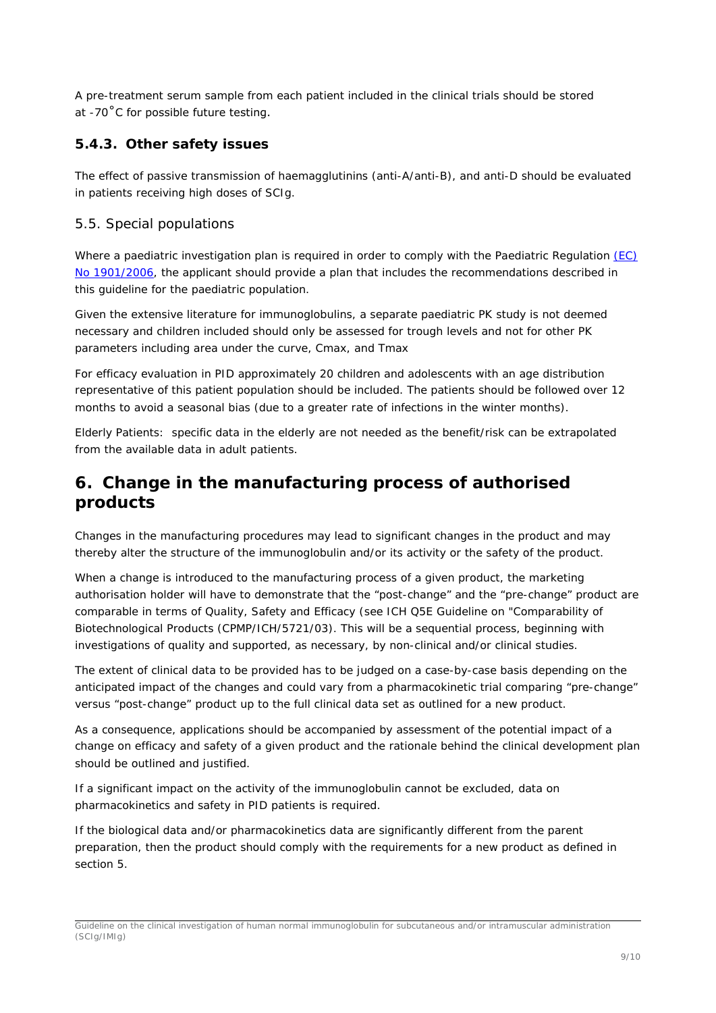A pre-treatment serum sample from each patient included in the clinical trials should be stored at -70˚C for possible future testing.

## <span id="page-8-0"></span>**5.4.3. Other safety issues**

The effect of passive transmission of haemagglutinins (anti-A/anti-B), and anti-D should be evaluated in patients receiving high doses of SCIg.

## <span id="page-8-1"></span>*5.5. Special populations*

Where a paediatric investigation plan is required in order to comply with the Paediatric Regulation (EC) [No 1901/2006,](http://eur-lex.europa.eu/LexUriServ/site/en/consleg/2006/R/02006R1901-20070126-en.pdf) the applicant should provide a plan that includes the recommendations described in this guideline for the paediatric population.

Given the extensive literature for immunoglobulins, a separate paediatric PK study is not deemed necessary and children included should only be assessed for trough levels and not for other PK parameters including area under the curve, Cmax, and Tmax

For efficacy evaluation in PID approximately 20 children and adolescents with an age distribution representative of this patient population should be included. The patients should be followed over 12 months to avoid a seasonal bias (due to a greater rate of infections in the winter months).

Elderly Patients: specific data in the elderly are not needed as the benefit/risk can be extrapolated from the available data in adult patients.

## <span id="page-8-2"></span>**6. Change in the manufacturing process of authorised products**

Changes in the manufacturing procedures may lead to significant changes in the product and may thereby alter the structure of the immunoglobulin and/or its activity or the safety of the product.

When a change is introduced to the manufacturing process of a given product, the marketing authorisation holder will have to demonstrate that the "post-change" and the "pre-change" product are comparable in terms of Quality, Safety and Efficacy (see ICH Q5E Guideline on "Comparability of Biotechnological Products (CPMP/ICH/5721/03). This will be a sequential process, beginning with investigations of quality and supported, as necessary, by non-clinical and/or clinical studies.

The extent of clinical data to be provided has to be judged on a case-by-case basis depending on the anticipated impact of the changes and could vary from a pharmacokinetic trial comparing "pre-change" versus "post-change" product up to the full clinical data set as outlined for a new product.

As a consequence, applications should be accompanied by assessment of the potential impact of a change on efficacy and safety of a given product and the rationale behind the clinical development plan should be outlined and justified.

If a significant impact on the activity of the immunoglobulin cannot be excluded, data on pharmacokinetics and safety in PID patients is required.

If the biological data and/or pharmacokinetics data are significantly different from the parent preparation, then the product should comply with the requirements for a new product as defined in section 5.

Guideline on the clinical investigation of human normal immunoglobulin for subcutaneous and/or intramuscular administration (SCIg/IMIg)